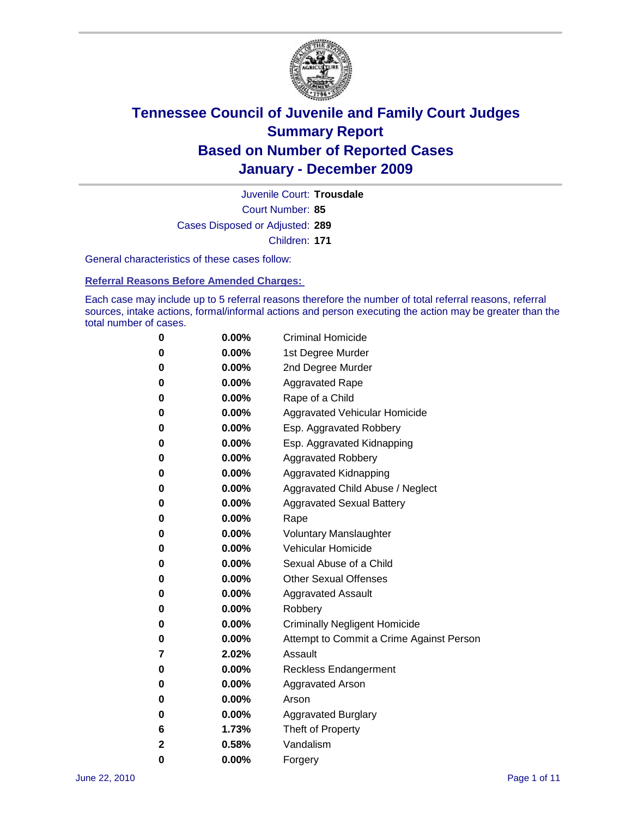

Court Number: **85** Juvenile Court: **Trousdale** Cases Disposed or Adjusted: **289** Children: **171**

General characteristics of these cases follow:

**Referral Reasons Before Amended Charges:** 

Each case may include up to 5 referral reasons therefore the number of total referral reasons, referral sources, intake actions, formal/informal actions and person executing the action may be greater than the total number of cases.

| 0 | $0.00\%$ | <b>Criminal Homicide</b>                 |
|---|----------|------------------------------------------|
| 0 | $0.00\%$ | 1st Degree Murder                        |
| 0 | $0.00\%$ | 2nd Degree Murder                        |
| 0 | $0.00\%$ | <b>Aggravated Rape</b>                   |
| 0 | $0.00\%$ | Rape of a Child                          |
| 0 | $0.00\%$ | <b>Aggravated Vehicular Homicide</b>     |
| 0 | $0.00\%$ | Esp. Aggravated Robbery                  |
| 0 | $0.00\%$ | Esp. Aggravated Kidnapping               |
| 0 | $0.00\%$ | <b>Aggravated Robbery</b>                |
| 0 | $0.00\%$ | Aggravated Kidnapping                    |
| 0 | $0.00\%$ | Aggravated Child Abuse / Neglect         |
| 0 | 0.00%    | <b>Aggravated Sexual Battery</b>         |
| 0 | $0.00\%$ | Rape                                     |
| 0 | $0.00\%$ | <b>Voluntary Manslaughter</b>            |
| 0 | $0.00\%$ | Vehicular Homicide                       |
| 0 | $0.00\%$ | Sexual Abuse of a Child                  |
| 0 | $0.00\%$ | <b>Other Sexual Offenses</b>             |
| 0 | $0.00\%$ | <b>Aggravated Assault</b>                |
| 0 | 0.00%    | Robbery                                  |
| 0 | $0.00\%$ | <b>Criminally Negligent Homicide</b>     |
| 0 | $0.00\%$ | Attempt to Commit a Crime Against Person |
| 7 | 2.02%    | Assault                                  |
| 0 | $0.00\%$ | <b>Reckless Endangerment</b>             |
| 0 | $0.00\%$ | <b>Aggravated Arson</b>                  |
| 0 | $0.00\%$ | Arson                                    |
| 0 | $0.00\%$ | <b>Aggravated Burglary</b>               |
| 6 | 1.73%    | Theft of Property                        |
| 2 | 0.58%    | Vandalism                                |
| 0 | 0.00%    | Forgery                                  |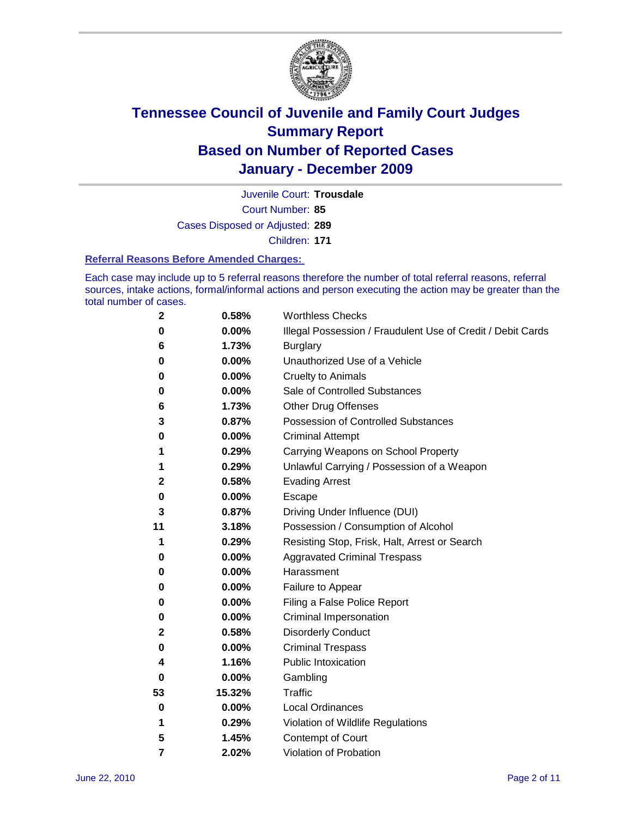

Court Number: **85** Juvenile Court: **Trousdale** Cases Disposed or Adjusted: **289** Children: **171**

#### **Referral Reasons Before Amended Charges:**

Each case may include up to 5 referral reasons therefore the number of total referral reasons, referral sources, intake actions, formal/informal actions and person executing the action may be greater than the total number of cases.

| $\mathbf{2}$ | 0.58%  | <b>Worthless Checks</b>                                     |
|--------------|--------|-------------------------------------------------------------|
| 0            | 0.00%  | Illegal Possession / Fraudulent Use of Credit / Debit Cards |
| 6            | 1.73%  | <b>Burglary</b>                                             |
| 0            | 0.00%  | Unauthorized Use of a Vehicle                               |
| 0            | 0.00%  | <b>Cruelty to Animals</b>                                   |
| 0            | 0.00%  | Sale of Controlled Substances                               |
| 6            | 1.73%  | <b>Other Drug Offenses</b>                                  |
| 3            | 0.87%  | Possession of Controlled Substances                         |
| 0            | 0.00%  | <b>Criminal Attempt</b>                                     |
| 1            | 0.29%  | Carrying Weapons on School Property                         |
| 1            | 0.29%  | Unlawful Carrying / Possession of a Weapon                  |
| 2            | 0.58%  | <b>Evading Arrest</b>                                       |
| 0            | 0.00%  | Escape                                                      |
| 3            | 0.87%  | Driving Under Influence (DUI)                               |
| 11           | 3.18%  | Possession / Consumption of Alcohol                         |
| 1            | 0.29%  | Resisting Stop, Frisk, Halt, Arrest or Search               |
| 0            | 0.00%  | <b>Aggravated Criminal Trespass</b>                         |
| 0            | 0.00%  | Harassment                                                  |
| 0            | 0.00%  | Failure to Appear                                           |
| 0            | 0.00%  | Filing a False Police Report                                |
| 0            | 0.00%  | Criminal Impersonation                                      |
| 2            | 0.58%  | <b>Disorderly Conduct</b>                                   |
| 0            | 0.00%  | <b>Criminal Trespass</b>                                    |
| 4            | 1.16%  | <b>Public Intoxication</b>                                  |
| 0            | 0.00%  | Gambling                                                    |
| 53           | 15.32% | <b>Traffic</b>                                              |
| 0            | 0.00%  | <b>Local Ordinances</b>                                     |
| 1            | 0.29%  | Violation of Wildlife Regulations                           |
| 5            | 1.45%  | Contempt of Court                                           |
| 7            | 2.02%  | Violation of Probation                                      |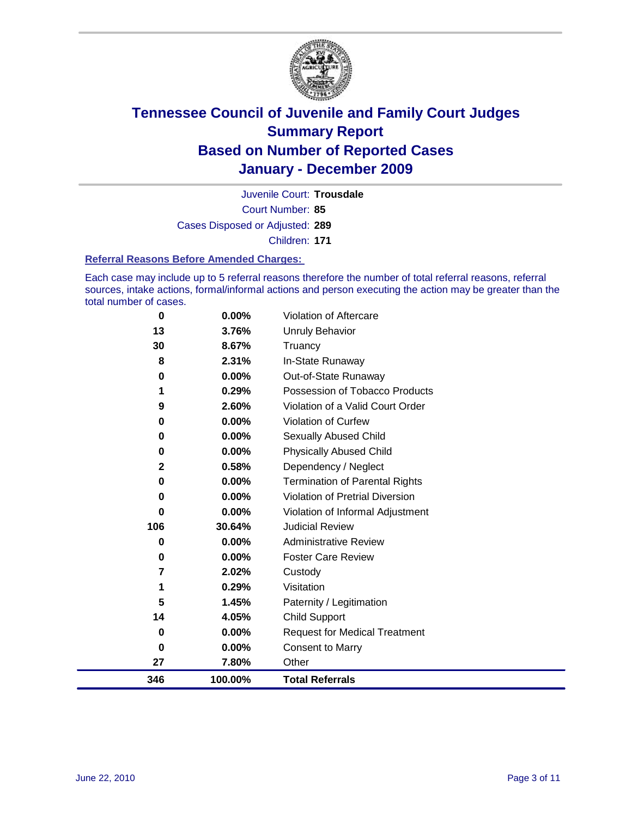

Court Number: **85** Juvenile Court: **Trousdale** Cases Disposed or Adjusted: **289** Children: **171**

#### **Referral Reasons Before Amended Charges:**

Each case may include up to 5 referral reasons therefore the number of total referral reasons, referral sources, intake actions, formal/informal actions and person executing the action may be greater than the total number of cases.

| 0   | 0.00%    | Violation of Aftercare                 |
|-----|----------|----------------------------------------|
| 13  | 3.76%    | <b>Unruly Behavior</b>                 |
| 30  | 8.67%    | Truancy                                |
| 8   | 2.31%    | In-State Runaway                       |
| 0   | 0.00%    | Out-of-State Runaway                   |
| 1   | 0.29%    | Possession of Tobacco Products         |
| 9   | 2.60%    | Violation of a Valid Court Order       |
| 0   | 0.00%    | Violation of Curfew                    |
| 0   | $0.00\%$ | Sexually Abused Child                  |
| 0   | 0.00%    | <b>Physically Abused Child</b>         |
| 2   | 0.58%    | Dependency / Neglect                   |
| 0   | 0.00%    | <b>Termination of Parental Rights</b>  |
| 0   | 0.00%    | <b>Violation of Pretrial Diversion</b> |
| 0   | 0.00%    | Violation of Informal Adjustment       |
| 106 | 30.64%   | <b>Judicial Review</b>                 |
| 0   | 0.00%    | <b>Administrative Review</b>           |
| 0   | 0.00%    | <b>Foster Care Review</b>              |
| 7   | 2.02%    | Custody                                |
| 1   | 0.29%    | Visitation                             |
| 5   | 1.45%    | Paternity / Legitimation               |
| 14  | 4.05%    | <b>Child Support</b>                   |
| 0   | 0.00%    | <b>Request for Medical Treatment</b>   |
| 0   | 0.00%    | <b>Consent to Marry</b>                |
| 27  | 7.80%    | Other                                  |
| 346 | 100.00%  | <b>Total Referrals</b>                 |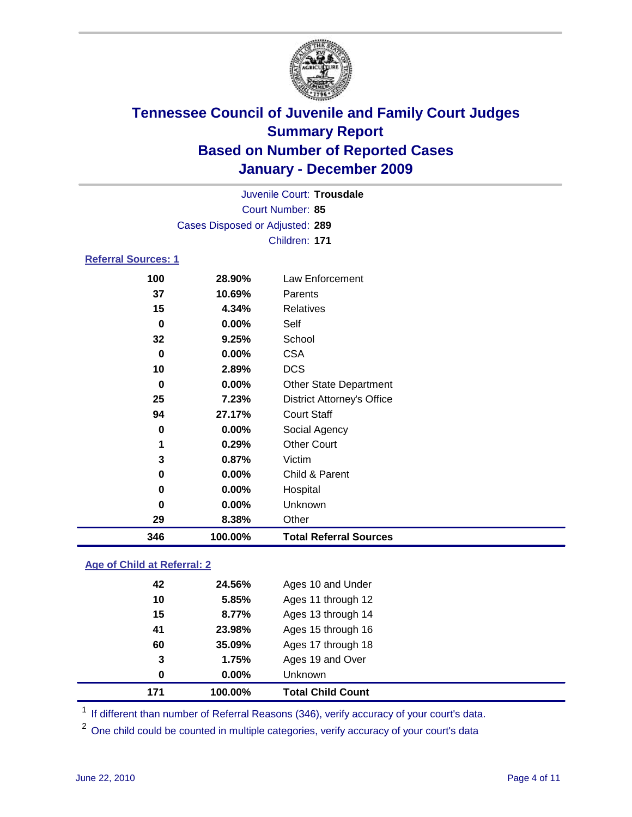

|                            | Juvenile Court: Trousdale<br>Court Number: 85<br>Cases Disposed or Adjusted: 289<br>Children: 171<br>Law Enforcement<br>28.90%<br>10.69%<br>Parents<br>Relatives<br>4.34%<br>Self<br>$0.00\%$<br>School<br>9.25%<br><b>CSA</b><br>$0.00\%$<br><b>DCS</b><br>2.89%<br>$0.00\%$<br><b>Other State Department</b><br><b>District Attorney's Office</b><br>7.23%<br><b>Court Staff</b><br>27.17%<br>0.00%<br>Social Agency |                    |  |
|----------------------------|------------------------------------------------------------------------------------------------------------------------------------------------------------------------------------------------------------------------------------------------------------------------------------------------------------------------------------------------------------------------------------------------------------------------|--------------------|--|
|                            |                                                                                                                                                                                                                                                                                                                                                                                                                        |                    |  |
|                            |                                                                                                                                                                                                                                                                                                                                                                                                                        |                    |  |
| <b>Referral Sources: 1</b> |                                                                                                                                                                                                                                                                                                                                                                                                                        |                    |  |
| 100                        |                                                                                                                                                                                                                                                                                                                                                                                                                        |                    |  |
| 37                         |                                                                                                                                                                                                                                                                                                                                                                                                                        |                    |  |
| 15                         |                                                                                                                                                                                                                                                                                                                                                                                                                        |                    |  |
| 0                          |                                                                                                                                                                                                                                                                                                                                                                                                                        |                    |  |
| 32                         |                                                                                                                                                                                                                                                                                                                                                                                                                        |                    |  |
| 0                          |                                                                                                                                                                                                                                                                                                                                                                                                                        |                    |  |
| 10                         |                                                                                                                                                                                                                                                                                                                                                                                                                        |                    |  |
| 0                          |                                                                                                                                                                                                                                                                                                                                                                                                                        |                    |  |
| 25                         |                                                                                                                                                                                                                                                                                                                                                                                                                        |                    |  |
| 94                         |                                                                                                                                                                                                                                                                                                                                                                                                                        |                    |  |
| 0                          |                                                                                                                                                                                                                                                                                                                                                                                                                        |                    |  |
| 1                          | 0.29%                                                                                                                                                                                                                                                                                                                                                                                                                  | <b>Other Court</b> |  |
| 3                          | 0.87%                                                                                                                                                                                                                                                                                                                                                                                                                  | Victim             |  |
| 0                          | $0.00\%$                                                                                                                                                                                                                                                                                                                                                                                                               | Child & Parent     |  |

 **0.00%** Hospital **0.00%** Unknown **8.38%** Other **100.00% Total Referral Sources**

### **Age of Child at Referral: 2**

|          |        | <b>Total Child Count</b> |
|----------|--------|--------------------------|
| $\bf{0}$ | 0.00%  | Unknown                  |
| 3        | 1.75%  | Ages 19 and Over         |
| 60       | 35.09% | Ages 17 through 18       |
| 41       | 23.98% | Ages 15 through 16       |
| 15       | 8.77%  | Ages 13 through 14       |
| 10       | 5.85%  | Ages 11 through 12       |
| 42       | 24.56% | Ages 10 and Under        |
|          |        | 100.00%<br>171           |

<sup>1</sup> If different than number of Referral Reasons (346), verify accuracy of your court's data.

<sup>2</sup> One child could be counted in multiple categories, verify accuracy of your court's data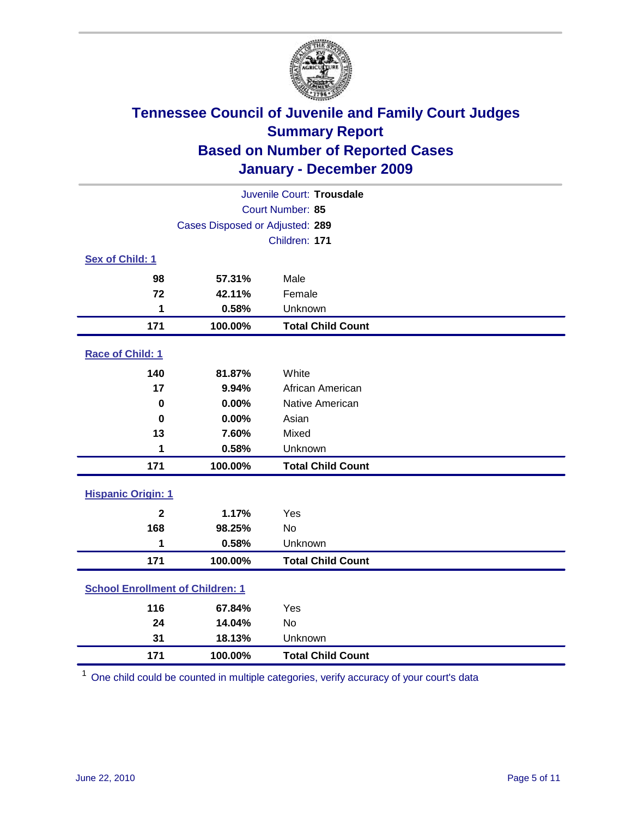

| Juvenile Court: Trousdale               |                                 |                          |  |  |  |
|-----------------------------------------|---------------------------------|--------------------------|--|--|--|
|                                         | Court Number: 85                |                          |  |  |  |
|                                         | Cases Disposed or Adjusted: 289 |                          |  |  |  |
|                                         |                                 | Children: 171            |  |  |  |
| Sex of Child: 1                         |                                 |                          |  |  |  |
| 98                                      | 57.31%                          | Male                     |  |  |  |
| 72                                      | 42.11%                          | Female                   |  |  |  |
| 1                                       | 0.58%                           | Unknown                  |  |  |  |
| 171                                     | 100.00%                         | <b>Total Child Count</b> |  |  |  |
| Race of Child: 1                        |                                 |                          |  |  |  |
| 140                                     | 81.87%                          | White                    |  |  |  |
| 17                                      | 9.94%                           | African American         |  |  |  |
| $\mathbf 0$                             | 0.00%                           | Native American          |  |  |  |
| $\mathbf 0$                             | 0.00%                           | Asian                    |  |  |  |
| 13                                      | 7.60%                           | Mixed                    |  |  |  |
| 1                                       | 0.58%                           | Unknown                  |  |  |  |
| 171                                     | 100.00%                         | <b>Total Child Count</b> |  |  |  |
| <b>Hispanic Origin: 1</b>               |                                 |                          |  |  |  |
| $\overline{2}$                          | 1.17%                           | Yes                      |  |  |  |
| 168                                     | 98.25%                          | No                       |  |  |  |
| 1                                       | 0.58%                           | Unknown                  |  |  |  |
| 171                                     | 100.00%                         | <b>Total Child Count</b> |  |  |  |
| <b>School Enrollment of Children: 1</b> |                                 |                          |  |  |  |
| 116                                     | 67.84%                          | Yes                      |  |  |  |
| 24                                      | 14.04%                          | <b>No</b>                |  |  |  |
| 31                                      | 18.13%                          | Unknown                  |  |  |  |
| 171                                     | 100.00%                         | <b>Total Child Count</b> |  |  |  |

One child could be counted in multiple categories, verify accuracy of your court's data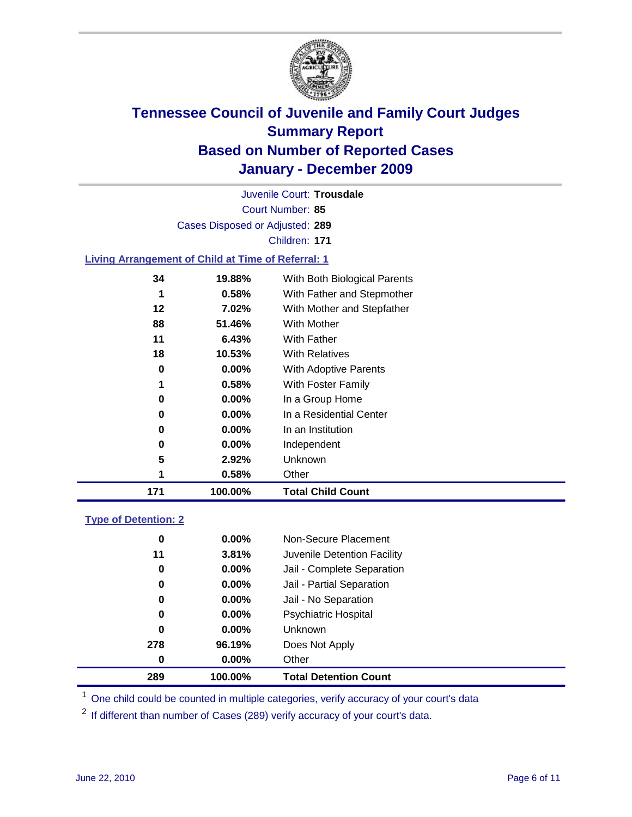

Court Number: **85** Juvenile Court: **Trousdale** Cases Disposed or Adjusted: **289** Children: **171**

### **Living Arrangement of Child at Time of Referral: 1**

| 171 | 100.00%  | <b>Total Child Count</b>     |
|-----|----------|------------------------------|
| 1   | 0.58%    | Other                        |
| 5   | 2.92%    | Unknown                      |
| 0   | $0.00\%$ | Independent                  |
| 0   | 0.00%    | In an Institution            |
| 0   | $0.00\%$ | In a Residential Center      |
| 0   | 0.00%    | In a Group Home              |
| 1   | 0.58%    | With Foster Family           |
| 0   | 0.00%    | With Adoptive Parents        |
| 18  | 10.53%   | <b>With Relatives</b>        |
| 11  | 6.43%    | <b>With Father</b>           |
| 88  | 51.46%   | With Mother                  |
| 12  | 7.02%    | With Mother and Stepfather   |
| 1   | 0.58%    | With Father and Stepmother   |
| 34  | 19.88%   | With Both Biological Parents |
|     |          |                              |

### **Type of Detention: 2**

| 289      | 100.00%  | <b>Total Detention Count</b> |  |
|----------|----------|------------------------------|--|
| $\bf{0}$ | 0.00%    | Other                        |  |
| 278      | 96.19%   | Does Not Apply               |  |
| 0        | 0.00%    | Unknown                      |  |
| 0        | $0.00\%$ | Psychiatric Hospital         |  |
| 0        | 0.00%    | Jail - No Separation         |  |
| 0        | $0.00\%$ | Jail - Partial Separation    |  |
| 0        | $0.00\%$ | Jail - Complete Separation   |  |
| 11       | 3.81%    | Juvenile Detention Facility  |  |
| 0        | $0.00\%$ | Non-Secure Placement         |  |
|          |          |                              |  |

<sup>1</sup> One child could be counted in multiple categories, verify accuracy of your court's data

<sup>2</sup> If different than number of Cases (289) verify accuracy of your court's data.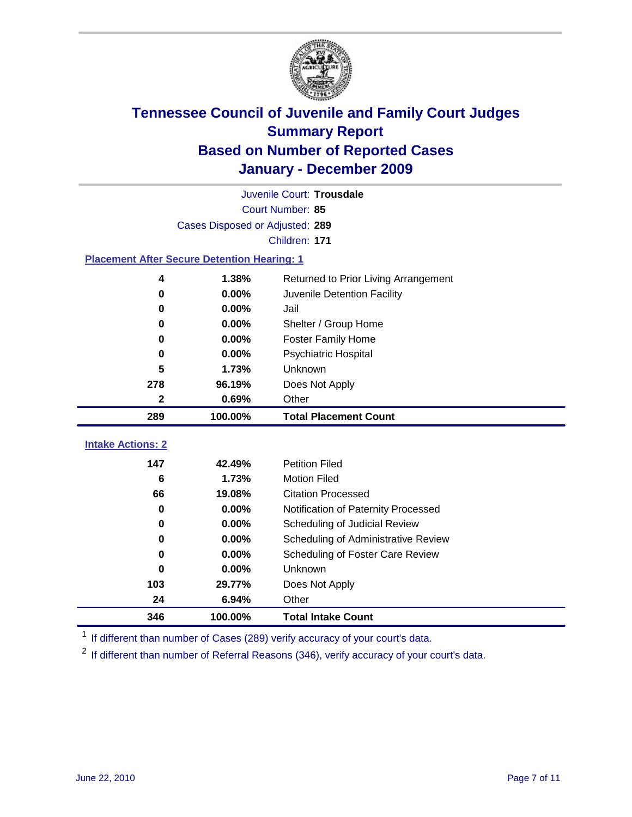

|                                                    | Juvenile Court: Trousdale       |                                      |  |  |  |
|----------------------------------------------------|---------------------------------|--------------------------------------|--|--|--|
|                                                    | Court Number: 85                |                                      |  |  |  |
|                                                    | Cases Disposed or Adjusted: 289 |                                      |  |  |  |
|                                                    |                                 | Children: 171                        |  |  |  |
| <b>Placement After Secure Detention Hearing: 1</b> |                                 |                                      |  |  |  |
| 4                                                  | 1.38%                           | Returned to Prior Living Arrangement |  |  |  |
| $\bf{0}$                                           | 0.00%                           | Juvenile Detention Facility          |  |  |  |
| 0                                                  | 0.00%                           | Jail                                 |  |  |  |
| $\bf{0}$                                           | 0.00%                           | Shelter / Group Home                 |  |  |  |
| 0                                                  | 0.00%                           | <b>Foster Family Home</b>            |  |  |  |
| $\bf{0}$                                           | 0.00%                           | Psychiatric Hospital                 |  |  |  |
| 5                                                  | 1.73%                           | Unknown                              |  |  |  |
| 278                                                | 96.19%                          | Does Not Apply                       |  |  |  |
| $\mathbf{2}$                                       | 0.69%                           | Other                                |  |  |  |
| 289                                                | 100.00%                         | <b>Total Placement Count</b>         |  |  |  |
| <b>Intake Actions: 2</b>                           |                                 |                                      |  |  |  |
|                                                    |                                 |                                      |  |  |  |
| 147                                                | 42.49%                          | <b>Petition Filed</b>                |  |  |  |
| 6                                                  | 1.73%                           | <b>Motion Filed</b>                  |  |  |  |
| 66                                                 | 19.08%                          | <b>Citation Processed</b>            |  |  |  |
| 0                                                  | 0.00%                           | Notification of Paternity Processed  |  |  |  |
| $\bf{0}$                                           | 0.00%                           | Scheduling of Judicial Review        |  |  |  |
| $\bf{0}$                                           | 0.00%                           | Scheduling of Administrative Review  |  |  |  |
| 0                                                  | 0.00%                           | Scheduling of Foster Care Review     |  |  |  |
| 0                                                  | 0.00%                           | <b>Unknown</b>                       |  |  |  |
| 103                                                | 29.77%                          | Does Not Apply                       |  |  |  |
| 24                                                 | 6.94%                           | Other                                |  |  |  |
| 346                                                | 100.00%                         | <b>Total Intake Count</b>            |  |  |  |

<sup>1</sup> If different than number of Cases (289) verify accuracy of your court's data.

<sup>2</sup> If different than number of Referral Reasons (346), verify accuracy of your court's data.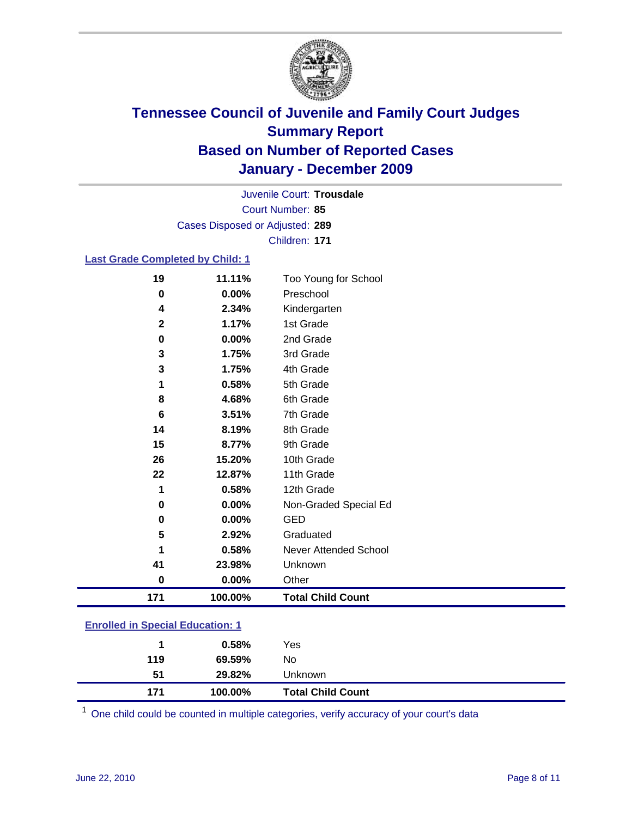

Court Number: **85** Juvenile Court: **Trousdale** Cases Disposed or Adjusted: **289** Children: **171**

### **Last Grade Completed by Child: 1**

| 19           | 11.11%   | Too Young for School     |  |
|--------------|----------|--------------------------|--|
| $\bf{0}$     | 0.00%    | Preschool                |  |
| 4            | 2.34%    | Kindergarten             |  |
| $\mathbf{2}$ | 1.17%    | 1st Grade                |  |
| 0            | $0.00\%$ | 2nd Grade                |  |
| 3            | 1.75%    | 3rd Grade                |  |
| 3            | 1.75%    | 4th Grade                |  |
| 1            | 0.58%    | 5th Grade                |  |
| 8            | 4.68%    | 6th Grade                |  |
| 6            | 3.51%    | 7th Grade                |  |
| 14           | 8.19%    | 8th Grade                |  |
| 15           | 8.77%    | 9th Grade                |  |
| 26           | 15.20%   | 10th Grade               |  |
| 22           | 12.87%   | 11th Grade               |  |
| 1            | 0.58%    | 12th Grade               |  |
| 0            | 0.00%    | Non-Graded Special Ed    |  |
| 0            | 0.00%    | <b>GED</b>               |  |
| 5            | 2.92%    | Graduated                |  |
| 1            | 0.58%    | Never Attended School    |  |
| 41           | 23.98%   | Unknown                  |  |
| $\bf{0}$     | $0.00\%$ | Other                    |  |
| 171          | 100.00%  | <b>Total Child Count</b> |  |

### **Enrolled in Special Education: 1**

| 119 | 69.59%  | No                       |  |
|-----|---------|--------------------------|--|
| 51  | 29.82%  | <b>Unknown</b>           |  |
| 171 | 100.00% | <b>Total Child Count</b> |  |

One child could be counted in multiple categories, verify accuracy of your court's data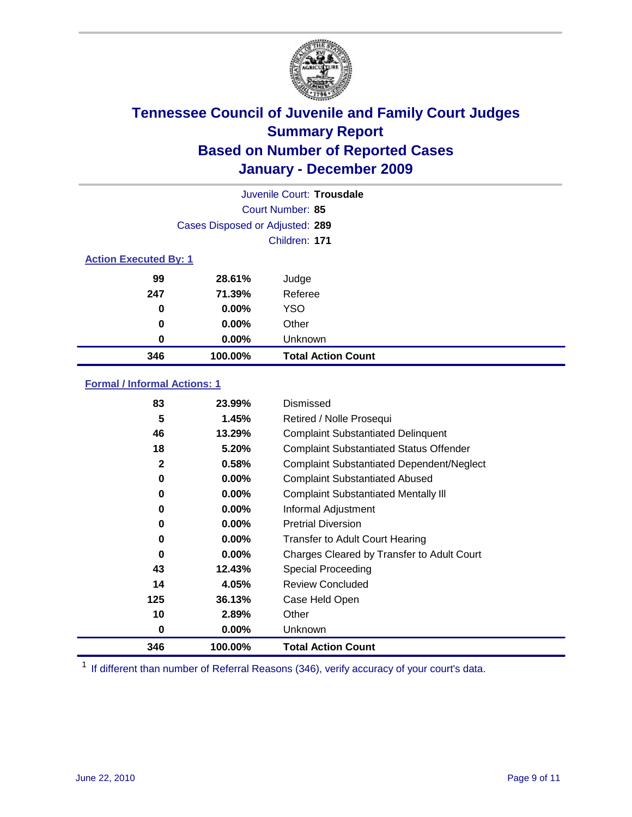

| Juvenile Court: Trousdale    |                                 |                           |  |  |
|------------------------------|---------------------------------|---------------------------|--|--|
|                              | Court Number: 85                |                           |  |  |
|                              | Cases Disposed or Adjusted: 289 |                           |  |  |
|                              |                                 | Children: 171             |  |  |
| <b>Action Executed By: 1</b> |                                 |                           |  |  |
| 99                           | 28.61%                          | Judge                     |  |  |
| 247                          | 71.39%                          | Referee                   |  |  |
| 0                            | $0.00\%$                        | <b>YSO</b>                |  |  |
| 0                            | 0.00%                           | Other                     |  |  |
| 0                            | 0.00%                           | Unknown                   |  |  |
| 346                          | 100.00%                         | <b>Total Action Count</b> |  |  |

### **Formal / Informal Actions: 1**

| 83           | 23.99%   | Dismissed                                        |
|--------------|----------|--------------------------------------------------|
| 5            | 1.45%    | Retired / Nolle Prosequi                         |
| 46           | 13.29%   | <b>Complaint Substantiated Delinquent</b>        |
| 18           | 5.20%    | <b>Complaint Substantiated Status Offender</b>   |
| $\mathbf{2}$ | 0.58%    | <b>Complaint Substantiated Dependent/Neglect</b> |
| 0            | 0.00%    | <b>Complaint Substantiated Abused</b>            |
| 0            | $0.00\%$ | <b>Complaint Substantiated Mentally III</b>      |
| 0            | $0.00\%$ | Informal Adjustment                              |
| 0            | $0.00\%$ | <b>Pretrial Diversion</b>                        |
| 0            | $0.00\%$ | <b>Transfer to Adult Court Hearing</b>           |
| 0            | $0.00\%$ | Charges Cleared by Transfer to Adult Court       |
| 43           | 12.43%   | Special Proceeding                               |
| 14           | 4.05%    | <b>Review Concluded</b>                          |
| 125          | 36.13%   | Case Held Open                                   |
| 10           | 2.89%    | Other                                            |
| 0            | $0.00\%$ | <b>Unknown</b>                                   |
| 346          | 100.00%  | <b>Total Action Count</b>                        |

<sup>1</sup> If different than number of Referral Reasons (346), verify accuracy of your court's data.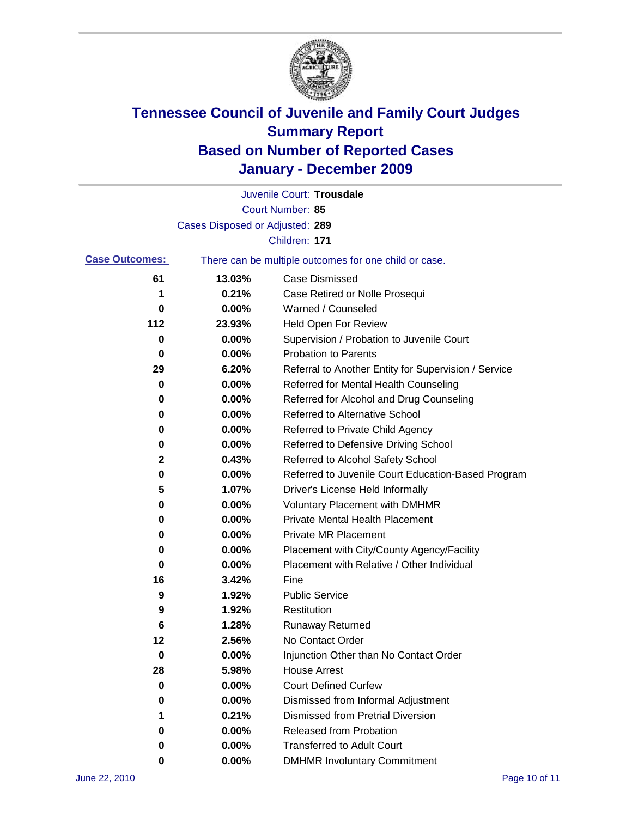

|                       |                                 | Juvenile Court: Trousdale                             |
|-----------------------|---------------------------------|-------------------------------------------------------|
|                       |                                 | <b>Court Number: 85</b>                               |
|                       | Cases Disposed or Adjusted: 289 |                                                       |
|                       |                                 | Children: 171                                         |
| <b>Case Outcomes:</b> |                                 | There can be multiple outcomes for one child or case. |
| 61                    | 13.03%                          | <b>Case Dismissed</b>                                 |
| 1                     | 0.21%                           | Case Retired or Nolle Prosequi                        |
| 0                     | 0.00%                           | Warned / Counseled                                    |
| 112                   | 23.93%                          | <b>Held Open For Review</b>                           |
| 0                     | 0.00%                           | Supervision / Probation to Juvenile Court             |
| 0                     | 0.00%                           | <b>Probation to Parents</b>                           |
| 29                    | 6.20%                           | Referral to Another Entity for Supervision / Service  |
| 0                     | 0.00%                           | Referred for Mental Health Counseling                 |
| 0                     | 0.00%                           | Referred for Alcohol and Drug Counseling              |
| 0                     | 0.00%                           | <b>Referred to Alternative School</b>                 |
| 0                     | 0.00%                           | Referred to Private Child Agency                      |
| 0                     | 0.00%                           | Referred to Defensive Driving School                  |
| 2                     | 0.43%                           | Referred to Alcohol Safety School                     |
| 0                     | 0.00%                           | Referred to Juvenile Court Education-Based Program    |
| 5                     | 1.07%                           | Driver's License Held Informally                      |
| 0                     | 0.00%                           | <b>Voluntary Placement with DMHMR</b>                 |
| 0                     | 0.00%                           | <b>Private Mental Health Placement</b>                |
| 0                     | 0.00%                           | <b>Private MR Placement</b>                           |
| 0                     | 0.00%                           | Placement with City/County Agency/Facility            |
| 0                     | 0.00%                           | Placement with Relative / Other Individual            |
| 16                    | 3.42%                           | Fine                                                  |
| 9                     | 1.92%                           | <b>Public Service</b>                                 |
| 9                     | 1.92%                           | Restitution                                           |
| 6                     | 1.28%                           | <b>Runaway Returned</b>                               |
| 12                    | 2.56%                           | No Contact Order                                      |
| 0                     | 0.00%                           | Injunction Other than No Contact Order                |
| 28                    | 5.98%                           | <b>House Arrest</b>                                   |
| 0                     | 0.00%                           | <b>Court Defined Curfew</b>                           |
| 0                     | 0.00%                           | Dismissed from Informal Adjustment                    |
| 1                     | 0.21%                           | <b>Dismissed from Pretrial Diversion</b>              |
| 0                     | 0.00%                           | Released from Probation                               |
| 0                     | 0.00%                           | <b>Transferred to Adult Court</b>                     |
| 0                     | $0.00\%$                        | <b>DMHMR Involuntary Commitment</b>                   |